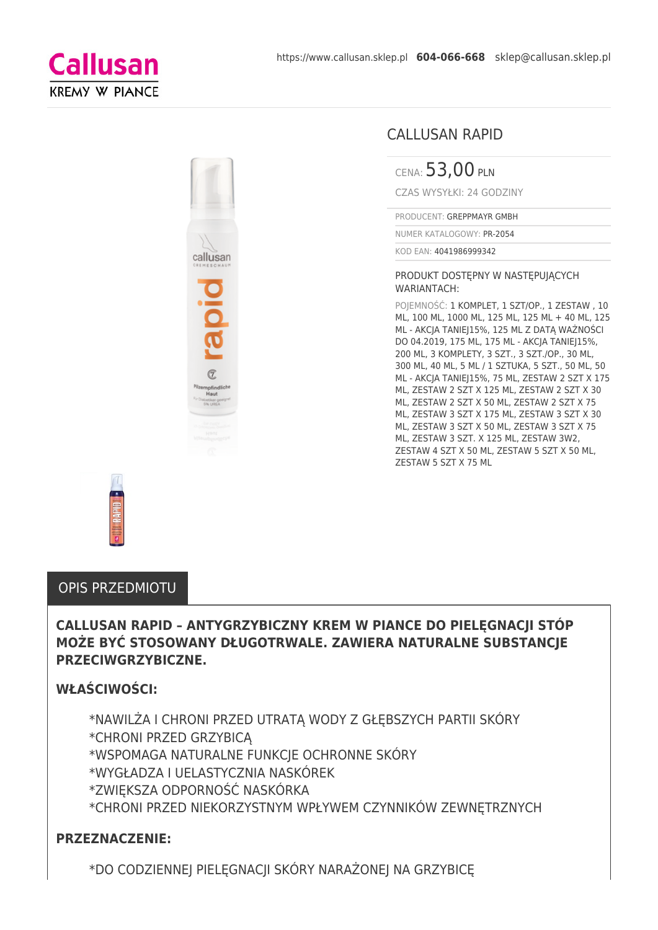



### CALLUSAN RAPID

CENA: 53,00 PLN

CZAS WYSYŁKI: 24 GODZINY

PRODUCENT: GREPPMAYR GMBH

NUMER KATALOGOWY: PR-2054

KOD EAN: 4041986999342

#### PRODUKT DOSTEPNY W NASTEPUJĄCYCH WARIANTACH:

POJEMNOŚĆ: 1 KOMPLET, 1 SZT/OP., 1 ZESTAW , 10 ML, 100 ML, 1000 ML, 125 ML, 125 ML + 40 ML, 125 ML - AKCJA TANIEJ15%, 125 ML Z DATĄ WAŻNOŚCI DO 04.2019, 175 ML, 175 ML - AKCJA TANIEJ15%, 200 ML, 3 KOMPLETY, 3 SZT., 3 SZT./OP., 30 ML, 300 ML, 40 ML, 5 ML / 1 SZTUKA, 5 SZT., 50 ML, 50 ML - AKCJA TANIEJ15%, 75 ML, ZESTAW 2 SZT X 175 ML, ZESTAW 2 SZT X 125 ML, ZESTAW 2 SZT X 30 ML, ZESTAW 2 SZT X 50 ML, ZESTAW 2 SZT X 75 ML, ZESTAW 3 SZT X 175 ML, ZESTAW 3 SZT X 30 ML, ZESTAW 3 SZT X 50 ML, ZESTAW 3 SZT X 75 ML, ZESTAW 3 SZT. X 125 ML, ZESTAW 3W2, ZESTAW 4 SZT X 50 ML, ZESTAW 5 SZT X 50 ML, ZESTAW 5 SZT X 75 ML



#### OPIS PRZEDMIOTU

### **CALLUSAN RAPID – ANTYGRZYBICZNY KREM W PIANCE DO PIELĘGNACJI STÓP MOŻE BYĆ STOSOWANY DŁUGOTRWALE. ZAWIERA NATURALNE SUBSTANCJE PRZECIWGRZYBICZNE.**

### **WŁAŚCIWOŚCI:**

\*NAWILŻA I CHRONI PRZED UTRATĄ WODY Z GŁĘBSZYCH PARTII SKÓRY \*CHRONI PRZED GRZYBICĄ \*WSPOMAGA NATURALNE FUNKCJE OCHRONNE SKÓRY \*WYGŁADZA I UELASTYCZNIA NASKÓREK \*ZWIĘKSZA ODPORNOŚĆ NASKÓRKA \*CHRONI PRZED NIEKORZYSTNYM WPŁYWEM CZYNNIKÓW ZEWNĘTRZNYCH

#### **PRZEZNACZENIE:**

\*DO CODZIENNEJ PIELĘGNACJI SKÓRY NARAŻONEJ NA GRZYBICĘ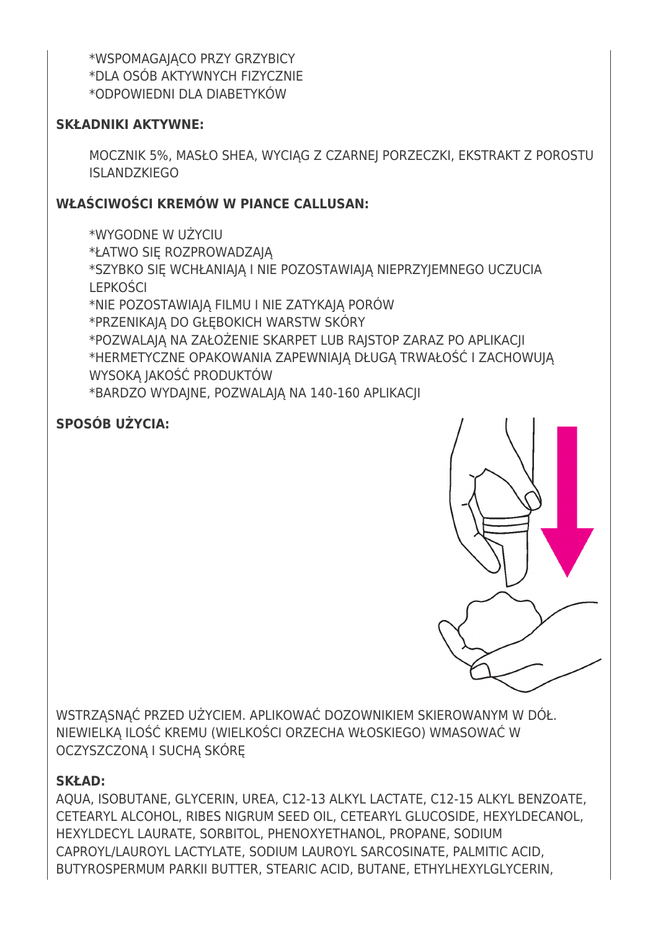\*WSPOMAGAJĄCO PRZY GRZYBICY \*DLA OSÓB AKTYWNYCH FIZYCZNIE \*ODPOWIEDNI DLA DIABETYKÓW

# **SKŁADNIKI AKTYWNE:**

MOCZNIK 5%, MASŁO SHEA, WYCIAG Z CZARNEJ PORZECZKI, EKSTRAKT Z POROSTU **ISLANDZKIEGO** 

# **WŁAŚCIWOŚCI KREMÓW W PIANCE CALLUSAN:**

\*WYGODNE W UŻYCIU \*ŁATWO SIĘ ROZPROWADZAJĄ \*SZYBKO SIĘ WCHŁANIAJĄ I NIE POZOSTAWIAJĄ NIEPRZYJEMNEGO UCZUCIA LEPKOŚCI \*NIE POZOSTAWIAJĄ FILMU I NIE ZATYKAJĄ PORÓW \*PRZENIKAJĄ DO GŁĘBOKICH WARSTW SKÓRY \*POZWALAJĄ NA ZAŁOŻENIE SKARPET LUB RAJSTOP ZARAZ PO APLIKACJI \*HERMETYCZNE OPAKOWANIA ZAPEWNIAJĄ DŁUGĄ TRWAŁOŚĆ I ZACHOWUJĄ WYSOKĄ JAKOŚĆ PRODUKTÓW \*BARDZO WYDAJNE, POZWALAJĄ NA 140-160 APLIKACJI

# **SPOSÓB UŻYCIA:**



WSTRZĄSNĄĆ PRZED UŻYCIEM. APLIKOWAĆ DOZOWNIKIEM SKIEROWANYM W DÓŁ. NIEWIELKĄ ILOŚĆ KREMU (WIELKOŚCI ORZECHA WŁOSKIEGO) WMASOWAĆ W OCZYSZCZONĄ I SUCHĄ SKÓRĘ

# **SKŁAD:**

AQUA, ISOBUTANE, GLYCERIN, UREA, C12‐13 ALKYL LACTATE, C12‐15 ALKYL BENZOATE, CETEARYL ALCOHOL, RIBES NIGRUM SEED OIL, CETEARYL GLUCOSIDE, HEXYLDECANOL, HEXYLDECYL LAURATE, SORBITOL, PHENOXYETHANOL, PROPANE, SODIUM CAPROYL/LAUROYL LACTYLATE, SODIUM LAUROYL SARCOSINATE, PALMITIC ACID, BUTYROSPERMUM PARKII BUTTER, STEARIC ACID, BUTANE, ETHYLHEXYLGLYCERIN,